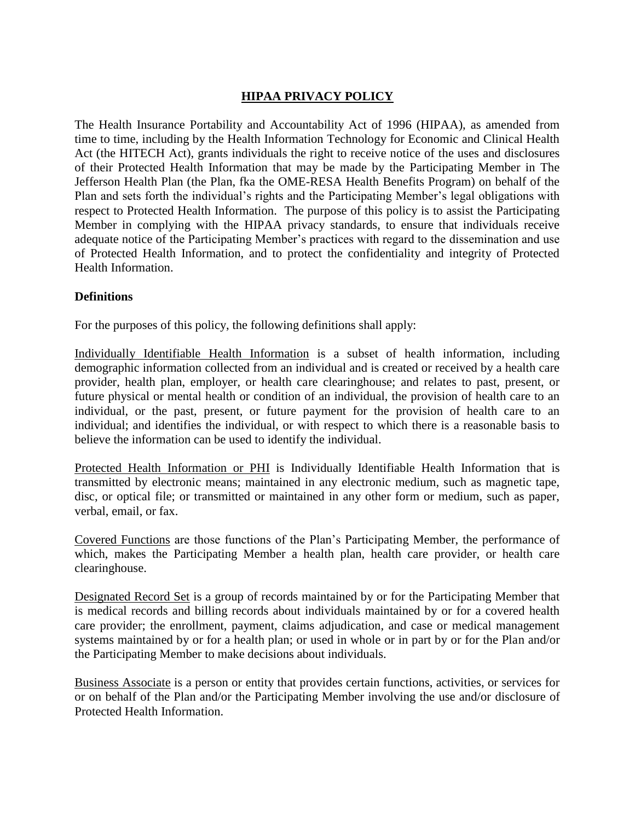# **HIPAA PRIVACY POLICY**

The Health Insurance Portability and Accountability Act of 1996 (HIPAA), as amended from time to time, including by the Health Information Technology for Economic and Clinical Health Act (the HITECH Act), grants individuals the right to receive notice of the uses and disclosures of their Protected Health Information that may be made by the Participating Member in The Jefferson Health Plan (the Plan, fka the OME-RESA Health Benefits Program) on behalf of the Plan and sets forth the individual's rights and the Participating Member's legal obligations with respect to Protected Health Information. The purpose of this policy is to assist the Participating Member in complying with the HIPAA privacy standards, to ensure that individuals receive adequate notice of the Participating Member's practices with regard to the dissemination and use of Protected Health Information, and to protect the confidentiality and integrity of Protected Health Information.

### **Definitions**

For the purposes of this policy, the following definitions shall apply:

Individually Identifiable Health Information is a subset of health information, including demographic information collected from an individual and is created or received by a health care provider, health plan, employer, or health care clearinghouse; and relates to past, present, or future physical or mental health or condition of an individual, the provision of health care to an individual, or the past, present, or future payment for the provision of health care to an individual; and identifies the individual, or with respect to which there is a reasonable basis to believe the information can be used to identify the individual.

Protected Health Information or PHI is Individually Identifiable Health Information that is transmitted by electronic means; maintained in any electronic medium, such as magnetic tape, disc, or optical file; or transmitted or maintained in any other form or medium, such as paper, verbal, email, or fax.

Covered Functions are those functions of the Plan's Participating Member, the performance of which, makes the Participating Member a health plan, health care provider, or health care clearinghouse.

Designated Record Set is a group of records maintained by or for the Participating Member that is medical records and billing records about individuals maintained by or for a covered health care provider; the enrollment, payment, claims adjudication, and case or medical management systems maintained by or for a health plan; or used in whole or in part by or for the Plan and/or the Participating Member to make decisions about individuals.

Business Associate is a person or entity that provides certain functions, activities, or services for or on behalf of the Plan and/or the Participating Member involving the use and/or disclosure of Protected Health Information.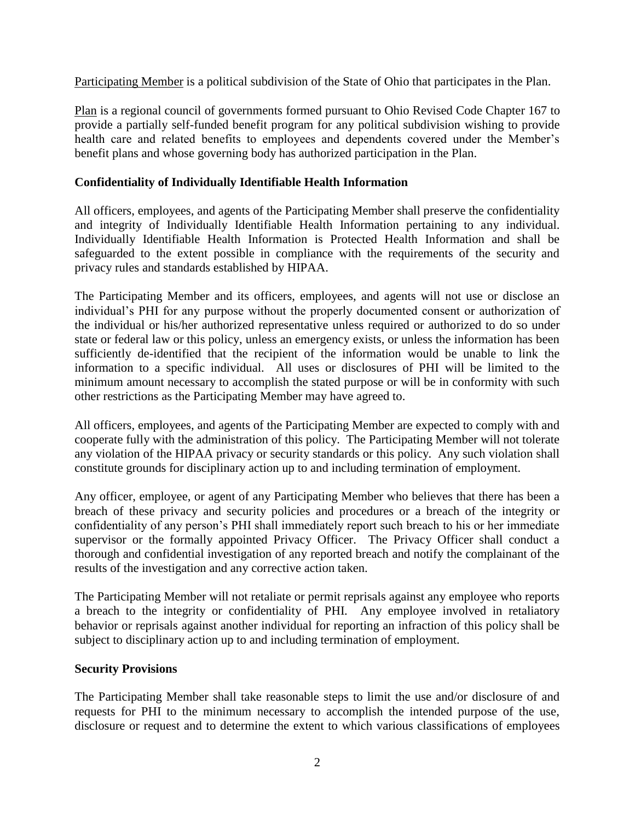Participating Member is a political subdivision of the State of Ohio that participates in the Plan.

Plan is a regional council of governments formed pursuant to Ohio Revised Code Chapter 167 to provide a partially self-funded benefit program for any political subdivision wishing to provide health care and related benefits to employees and dependents covered under the Member's benefit plans and whose governing body has authorized participation in the Plan.

## **Confidentiality of Individually Identifiable Health Information**

All officers, employees, and agents of the Participating Member shall preserve the confidentiality and integrity of Individually Identifiable Health Information pertaining to any individual. Individually Identifiable Health Information is Protected Health Information and shall be safeguarded to the extent possible in compliance with the requirements of the security and privacy rules and standards established by HIPAA.

The Participating Member and its officers, employees, and agents will not use or disclose an individual's PHI for any purpose without the properly documented consent or authorization of the individual or his/her authorized representative unless required or authorized to do so under state or federal law or this policy, unless an emergency exists, or unless the information has been sufficiently de-identified that the recipient of the information would be unable to link the information to a specific individual. All uses or disclosures of PHI will be limited to the minimum amount necessary to accomplish the stated purpose or will be in conformity with such other restrictions as the Participating Member may have agreed to.

All officers, employees, and agents of the Participating Member are expected to comply with and cooperate fully with the administration of this policy. The Participating Member will not tolerate any violation of the HIPAA privacy or security standards or this policy. Any such violation shall constitute grounds for disciplinary action up to and including termination of employment.

Any officer, employee, or agent of any Participating Member who believes that there has been a breach of these privacy and security policies and procedures or a breach of the integrity or confidentiality of any person's PHI shall immediately report such breach to his or her immediate supervisor or the formally appointed Privacy Officer. The Privacy Officer shall conduct a thorough and confidential investigation of any reported breach and notify the complainant of the results of the investigation and any corrective action taken.

The Participating Member will not retaliate or permit reprisals against any employee who reports a breach to the integrity or confidentiality of PHI. Any employee involved in retaliatory behavior or reprisals against another individual for reporting an infraction of this policy shall be subject to disciplinary action up to and including termination of employment.

### **Security Provisions**

The Participating Member shall take reasonable steps to limit the use and/or disclosure of and requests for PHI to the minimum necessary to accomplish the intended purpose of the use, disclosure or request and to determine the extent to which various classifications of employees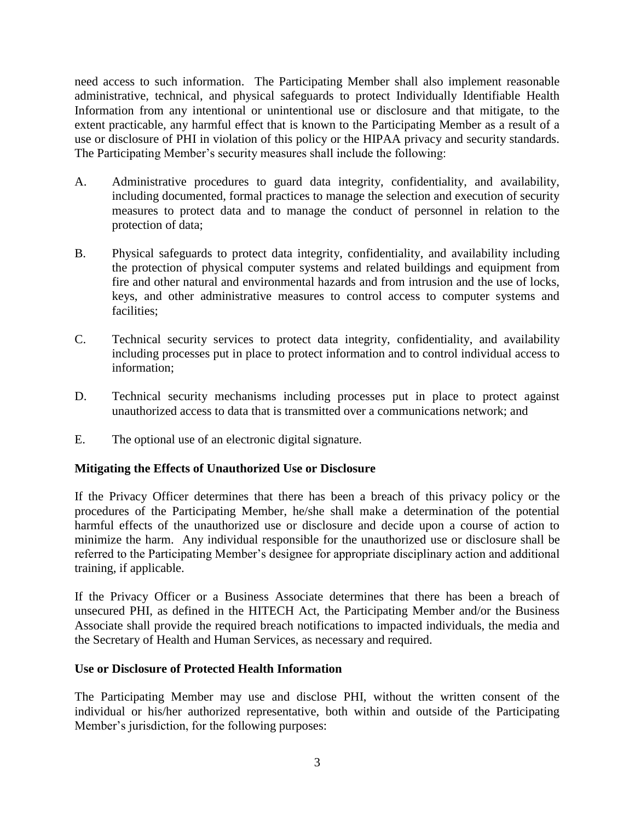need access to such information. The Participating Member shall also implement reasonable administrative, technical, and physical safeguards to protect Individually Identifiable Health Information from any intentional or unintentional use or disclosure and that mitigate, to the extent practicable, any harmful effect that is known to the Participating Member as a result of a use or disclosure of PHI in violation of this policy or the HIPAA privacy and security standards. The Participating Member's security measures shall include the following:

- A. Administrative procedures to guard data integrity, confidentiality, and availability, including documented, formal practices to manage the selection and execution of security measures to protect data and to manage the conduct of personnel in relation to the protection of data;
- B. Physical safeguards to protect data integrity, confidentiality, and availability including the protection of physical computer systems and related buildings and equipment from fire and other natural and environmental hazards and from intrusion and the use of locks, keys, and other administrative measures to control access to computer systems and facilities;
- C. Technical security services to protect data integrity, confidentiality, and availability including processes put in place to protect information and to control individual access to information;
- D. Technical security mechanisms including processes put in place to protect against unauthorized access to data that is transmitted over a communications network; and
- E. The optional use of an electronic digital signature.

# **Mitigating the Effects of Unauthorized Use or Disclosure**

If the Privacy Officer determines that there has been a breach of this privacy policy or the procedures of the Participating Member, he/she shall make a determination of the potential harmful effects of the unauthorized use or disclosure and decide upon a course of action to minimize the harm. Any individual responsible for the unauthorized use or disclosure shall be referred to the Participating Member's designee for appropriate disciplinary action and additional training, if applicable.

If the Privacy Officer or a Business Associate determines that there has been a breach of unsecured PHI, as defined in the HITECH Act, the Participating Member and/or the Business Associate shall provide the required breach notifications to impacted individuals, the media and the Secretary of Health and Human Services, as necessary and required.

# **Use or Disclosure of Protected Health Information**

The Participating Member may use and disclose PHI, without the written consent of the individual or his/her authorized representative, both within and outside of the Participating Member's jurisdiction, for the following purposes: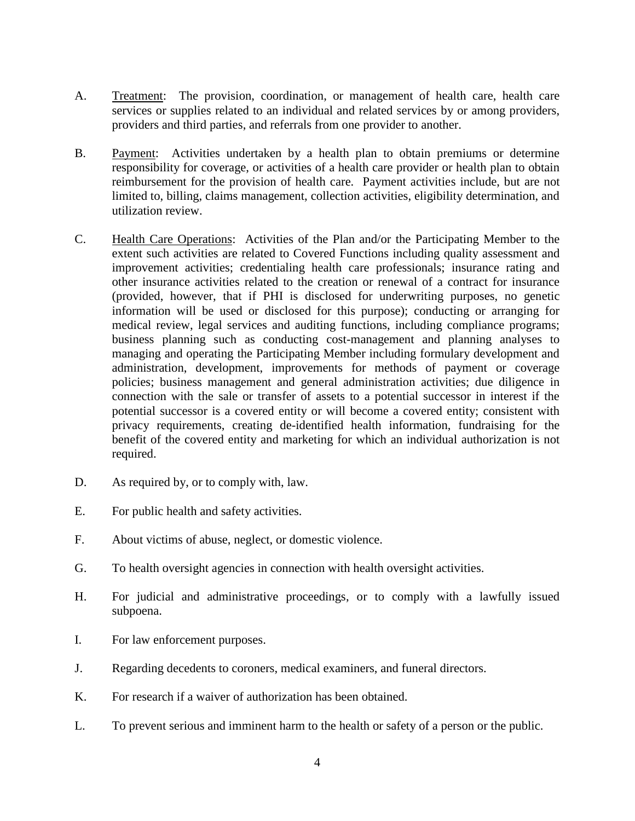- A. Treatment: The provision, coordination, or management of health care, health care services or supplies related to an individual and related services by or among providers, providers and third parties, and referrals from one provider to another.
- B. Payment: Activities undertaken by a health plan to obtain premiums or determine responsibility for coverage, or activities of a health care provider or health plan to obtain reimbursement for the provision of health care. Payment activities include, but are not limited to, billing, claims management, collection activities, eligibility determination, and utilization review.
- C. Health Care Operations: Activities of the Plan and/or the Participating Member to the extent such activities are related to Covered Functions including quality assessment and improvement activities; credentialing health care professionals; insurance rating and other insurance activities related to the creation or renewal of a contract for insurance (provided, however, that if PHI is disclosed for underwriting purposes, no genetic information will be used or disclosed for this purpose); conducting or arranging for medical review, legal services and auditing functions, including compliance programs; business planning such as conducting cost-management and planning analyses to managing and operating the Participating Member including formulary development and administration, development, improvements for methods of payment or coverage policies; business management and general administration activities; due diligence in connection with the sale or transfer of assets to a potential successor in interest if the potential successor is a covered entity or will become a covered entity; consistent with privacy requirements, creating de-identified health information, fundraising for the benefit of the covered entity and marketing for which an individual authorization is not required.
- D. As required by, or to comply with, law.
- E. For public health and safety activities.
- F. About victims of abuse, neglect, or domestic violence.
- G. To health oversight agencies in connection with health oversight activities.
- H. For judicial and administrative proceedings, or to comply with a lawfully issued subpoena.
- I. For law enforcement purposes.
- J. Regarding decedents to coroners, medical examiners, and funeral directors.
- K. For research if a waiver of authorization has been obtained.
- L. To prevent serious and imminent harm to the health or safety of a person or the public.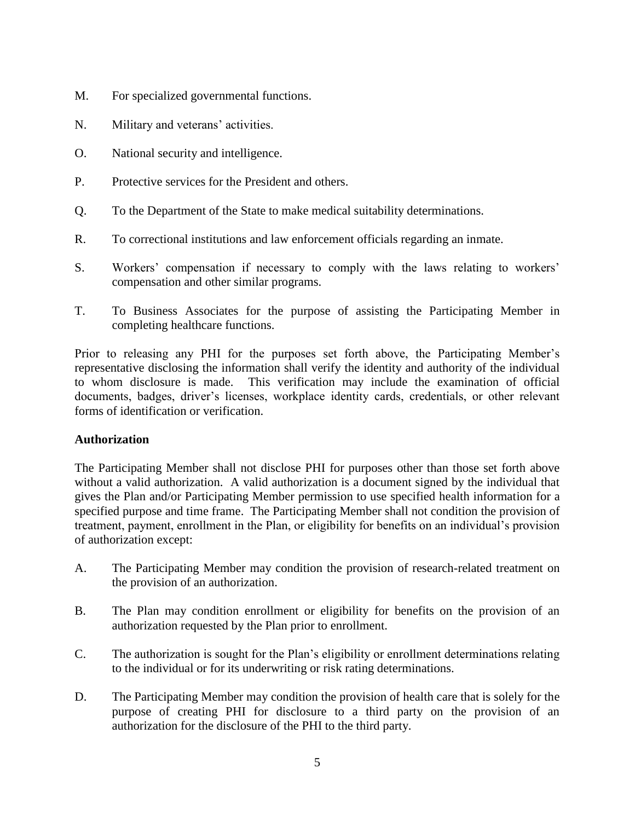- M. For specialized governmental functions.
- N. Military and veterans' activities.
- O. National security and intelligence.
- P. Protective services for the President and others.
- Q. To the Department of the State to make medical suitability determinations.
- R. To correctional institutions and law enforcement officials regarding an inmate.
- S. Workers' compensation if necessary to comply with the laws relating to workers' compensation and other similar programs.
- T. To Business Associates for the purpose of assisting the Participating Member in completing healthcare functions.

Prior to releasing any PHI for the purposes set forth above, the Participating Member's representative disclosing the information shall verify the identity and authority of the individual to whom disclosure is made. This verification may include the examination of official documents, badges, driver's licenses, workplace identity cards, credentials, or other relevant forms of identification or verification.

### **Authorization**

The Participating Member shall not disclose PHI for purposes other than those set forth above without a valid authorization. A valid authorization is a document signed by the individual that gives the Plan and/or Participating Member permission to use specified health information for a specified purpose and time frame. The Participating Member shall not condition the provision of treatment, payment, enrollment in the Plan, or eligibility for benefits on an individual's provision of authorization except:

- A. The Participating Member may condition the provision of research-related treatment on the provision of an authorization.
- B. The Plan may condition enrollment or eligibility for benefits on the provision of an authorization requested by the Plan prior to enrollment.
- C. The authorization is sought for the Plan's eligibility or enrollment determinations relating to the individual or for its underwriting or risk rating determinations.
- D. The Participating Member may condition the provision of health care that is solely for the purpose of creating PHI for disclosure to a third party on the provision of an authorization for the disclosure of the PHI to the third party.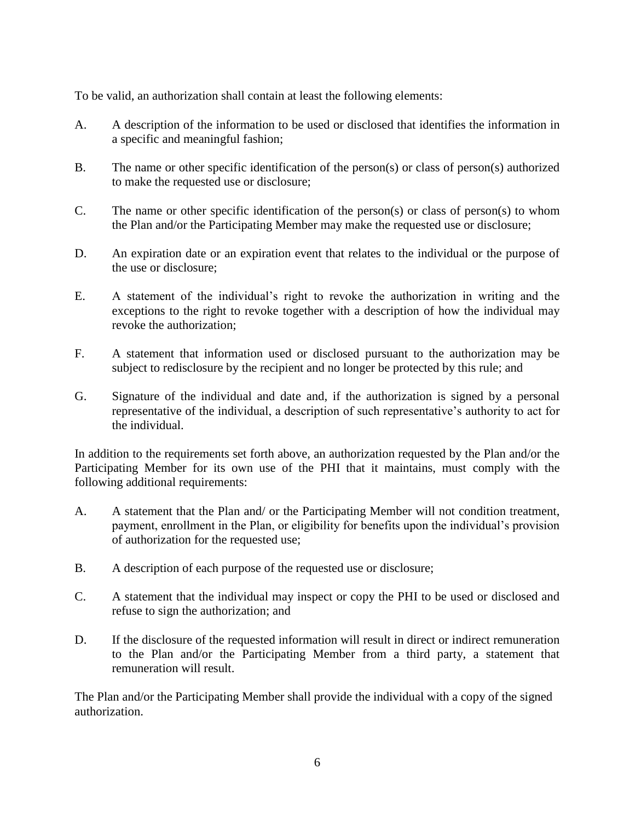To be valid, an authorization shall contain at least the following elements:

- A. A description of the information to be used or disclosed that identifies the information in a specific and meaningful fashion;
- B. The name or other specific identification of the person(s) or class of person(s) authorized to make the requested use or disclosure;
- C. The name or other specific identification of the person(s) or class of person(s) to whom the Plan and/or the Participating Member may make the requested use or disclosure;
- D. An expiration date or an expiration event that relates to the individual or the purpose of the use or disclosure;
- E. A statement of the individual's right to revoke the authorization in writing and the exceptions to the right to revoke together with a description of how the individual may revoke the authorization;
- F. A statement that information used or disclosed pursuant to the authorization may be subject to redisclosure by the recipient and no longer be protected by this rule; and
- G. Signature of the individual and date and, if the authorization is signed by a personal representative of the individual, a description of such representative's authority to act for the individual.

In addition to the requirements set forth above, an authorization requested by the Plan and/or the Participating Member for its own use of the PHI that it maintains, must comply with the following additional requirements:

- A. A statement that the Plan and/ or the Participating Member will not condition treatment, payment, enrollment in the Plan, or eligibility for benefits upon the individual's provision of authorization for the requested use;
- B. A description of each purpose of the requested use or disclosure;
- C. A statement that the individual may inspect or copy the PHI to be used or disclosed and refuse to sign the authorization; and
- D. If the disclosure of the requested information will result in direct or indirect remuneration to the Plan and/or the Participating Member from a third party, a statement that remuneration will result.

The Plan and/or the Participating Member shall provide the individual with a copy of the signed authorization.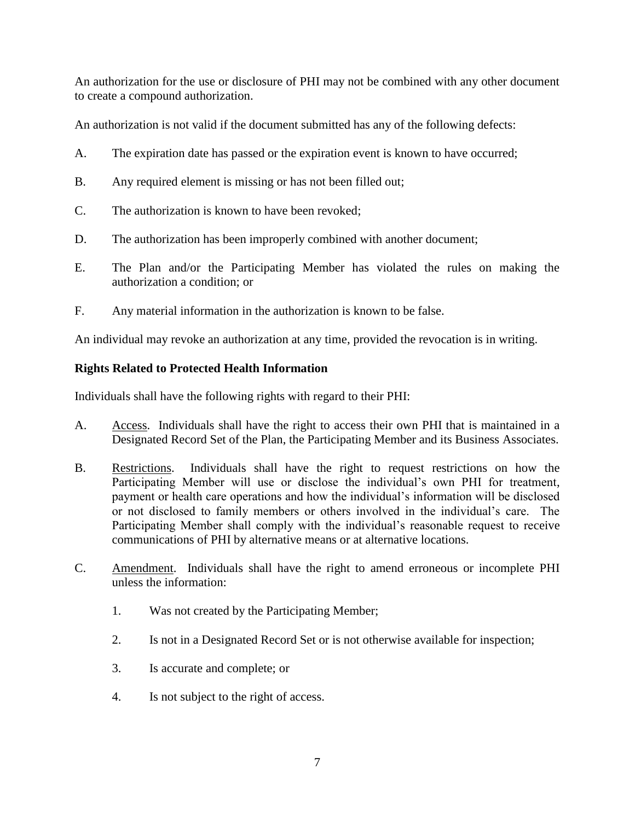An authorization for the use or disclosure of PHI may not be combined with any other document to create a compound authorization.

An authorization is not valid if the document submitted has any of the following defects:

- A. The expiration date has passed or the expiration event is known to have occurred;
- B. Any required element is missing or has not been filled out;
- C. The authorization is known to have been revoked;
- D. The authorization has been improperly combined with another document;
- E. The Plan and/or the Participating Member has violated the rules on making the authorization a condition; or
- F. Any material information in the authorization is known to be false.

An individual may revoke an authorization at any time, provided the revocation is in writing.

# **Rights Related to Protected Health Information**

Individuals shall have the following rights with regard to their PHI:

- A. Access. Individuals shall have the right to access their own PHI that is maintained in a Designated Record Set of the Plan, the Participating Member and its Business Associates.
- B. Restrictions. Individuals shall have the right to request restrictions on how the Participating Member will use or disclose the individual's own PHI for treatment, payment or health care operations and how the individual's information will be disclosed or not disclosed to family members or others involved in the individual's care. The Participating Member shall comply with the individual's reasonable request to receive communications of PHI by alternative means or at alternative locations.
- C. Amendment. Individuals shall have the right to amend erroneous or incomplete PHI unless the information:
	- 1. Was not created by the Participating Member;
	- 2. Is not in a Designated Record Set or is not otherwise available for inspection;
	- 3. Is accurate and complete; or
	- 4. Is not subject to the right of access.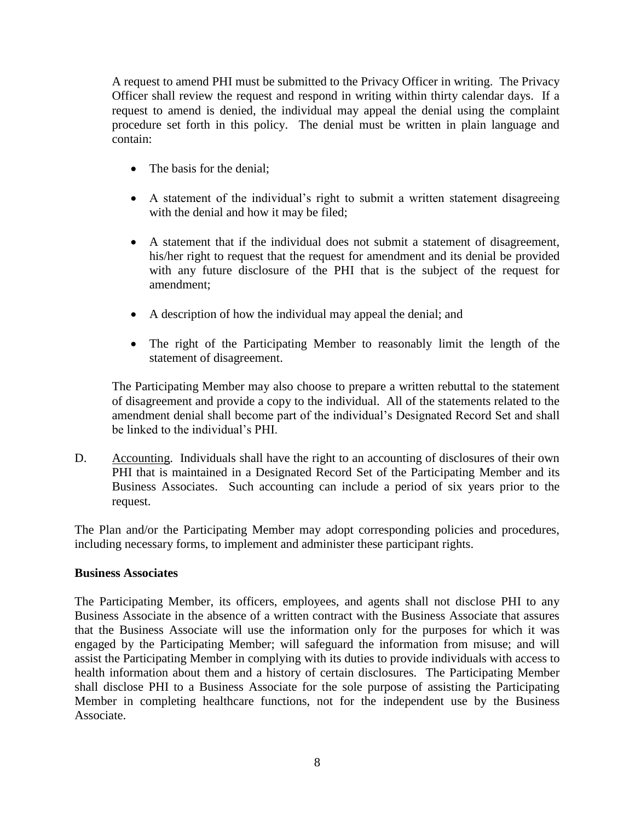A request to amend PHI must be submitted to the Privacy Officer in writing. The Privacy Officer shall review the request and respond in writing within thirty calendar days. If a request to amend is denied, the individual may appeal the denial using the complaint procedure set forth in this policy. The denial must be written in plain language and contain:

- The basis for the denial;
- A statement of the individual's right to submit a written statement disagreeing with the denial and how it may be filed;
- A statement that if the individual does not submit a statement of disagreement, his/her right to request that the request for amendment and its denial be provided with any future disclosure of the PHI that is the subject of the request for amendment;
- A description of how the individual may appeal the denial; and
- The right of the Participating Member to reasonably limit the length of the statement of disagreement.

The Participating Member may also choose to prepare a written rebuttal to the statement of disagreement and provide a copy to the individual. All of the statements related to the amendment denial shall become part of the individual's Designated Record Set and shall be linked to the individual's PHI.

D. Accounting. Individuals shall have the right to an accounting of disclosures of their own PHI that is maintained in a Designated Record Set of the Participating Member and its Business Associates. Such accounting can include a period of six years prior to the request.

The Plan and/or the Participating Member may adopt corresponding policies and procedures, including necessary forms, to implement and administer these participant rights.

### **Business Associates**

The Participating Member, its officers, employees, and agents shall not disclose PHI to any Business Associate in the absence of a written contract with the Business Associate that assures that the Business Associate will use the information only for the purposes for which it was engaged by the Participating Member; will safeguard the information from misuse; and will assist the Participating Member in complying with its duties to provide individuals with access to health information about them and a history of certain disclosures. The Participating Member shall disclose PHI to a Business Associate for the sole purpose of assisting the Participating Member in completing healthcare functions, not for the independent use by the Business Associate.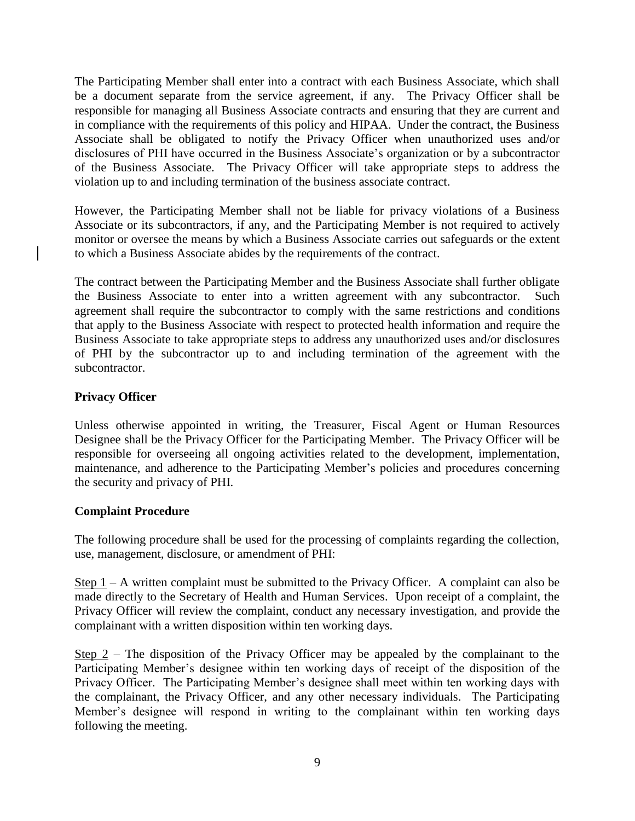The Participating Member shall enter into a contract with each Business Associate, which shall be a document separate from the service agreement, if any. The Privacy Officer shall be responsible for managing all Business Associate contracts and ensuring that they are current and in compliance with the requirements of this policy and HIPAA. Under the contract, the Business Associate shall be obligated to notify the Privacy Officer when unauthorized uses and/or disclosures of PHI have occurred in the Business Associate's organization or by a subcontractor of the Business Associate. The Privacy Officer will take appropriate steps to address the violation up to and including termination of the business associate contract.

However, the Participating Member shall not be liable for privacy violations of a Business Associate or its subcontractors, if any, and the Participating Member is not required to actively monitor or oversee the means by which a Business Associate carries out safeguards or the extent to which a Business Associate abides by the requirements of the contract.

The contract between the Participating Member and the Business Associate shall further obligate the Business Associate to enter into a written agreement with any subcontractor. Such agreement shall require the subcontractor to comply with the same restrictions and conditions that apply to the Business Associate with respect to protected health information and require the Business Associate to take appropriate steps to address any unauthorized uses and/or disclosures of PHI by the subcontractor up to and including termination of the agreement with the subcontractor.

# **Privacy Officer**

Unless otherwise appointed in writing, the Treasurer, Fiscal Agent or Human Resources Designee shall be the Privacy Officer for the Participating Member. The Privacy Officer will be responsible for overseeing all ongoing activities related to the development, implementation, maintenance, and adherence to the Participating Member's policies and procedures concerning the security and privacy of PHI.

### **Complaint Procedure**

The following procedure shall be used for the processing of complaints regarding the collection, use, management, disclosure, or amendment of PHI:

Step  $1 - A$  written complaint must be submitted to the Privacy Officer. A complaint can also be made directly to the Secretary of Health and Human Services. Upon receipt of a complaint, the Privacy Officer will review the complaint, conduct any necessary investigation, and provide the complainant with a written disposition within ten working days.

Step 2 – The disposition of the Privacy Officer may be appealed by the complainant to the Participating Member's designee within ten working days of receipt of the disposition of the Privacy Officer. The Participating Member's designee shall meet within ten working days with the complainant, the Privacy Officer, and any other necessary individuals. The Participating Member's designee will respond in writing to the complainant within ten working days following the meeting.